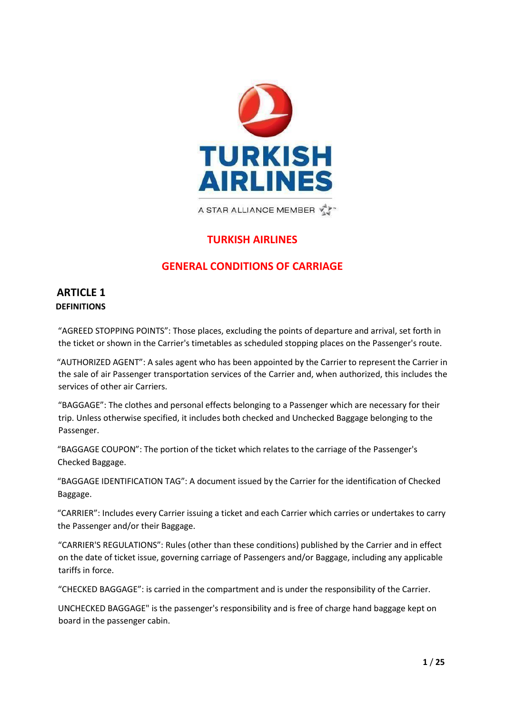

A STAR ALLIANCE MEMBER

# **TURKISH AIRLINES**

# **GENERAL CONDITIONS OF CARRIAGE**

# **ARTICLE 1 DEFINITIONS**

"AGREED STOPPING POINTS": Those places, excluding the points of departure and arrival, set forth in the ticket or shown in the Carrier's timetables as scheduled stopping places on the Passenger's route.

"AUTHORIZED AGENT": A sales agent who has been appointed by the Carrier to represent the Carrier in the sale of air Passenger transportation services of the Carrier and, when authorized, this includes the services of other air Carriers.

"BAGGAGE": The clothes and personal effects belonging to a Passenger which are necessary for their trip. Unless otherwise specified, it includes both checked and Unchecked Baggage belonging to the Passenger.

"BAGGAGE COUPON": The portion of the ticket which relates to the carriage of the Passenger's Checked Baggage.

"BAGGAGE IDENTIFICATION TAG": A document issued by the Carrier for the identification of Checked Baggage.

"CARRIER": Includes every Carrier issuing a ticket and each Carrier which carries or undertakes to carry the Passenger and/or their Baggage.

"CARRIER'S REGULATIONS": Rules (other than these conditions) published by the Carrier and in effect on the date of ticket issue, governing carriage of Passengers and/or Baggage, including any applicable tariffs in force.

"CHECKED BAGGAGE": is carried in the compartment and is under the responsibility of the Carrier.

UNCHECKED BAGGAGE" is the passenger's responsibility and is free of charge hand baggage kept on board in the passenger cabin.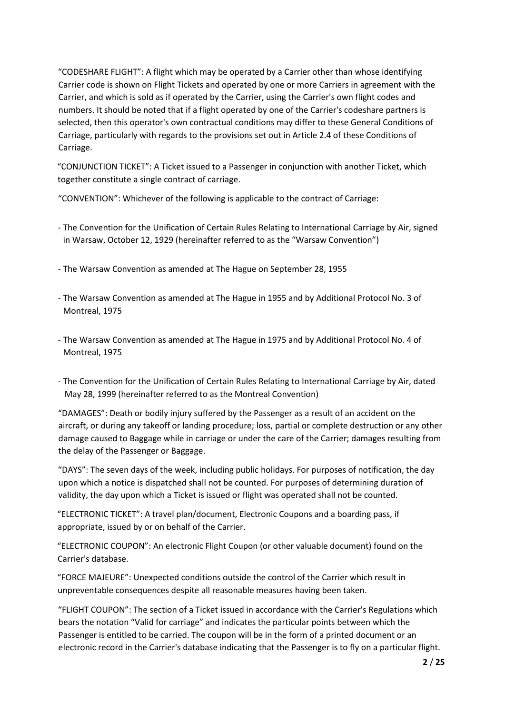"CODESHARE FLIGHT": A flight which may be operated by a Carrier other than whose identifying Carrier code is shown on Flight Tickets and operated by one or more Carriers in agreement with the Carrier, and which is sold as if operated by the Carrier, using the Carrier's own flight codes and numbers. It should be noted that if a flight operated by one of the Carrier's codeshare partners is selected, then this operator's own contractual conditions may differ to these General Conditions of Carriage, particularly with regards to the provisions set out in Article 2.4 of these Conditions of Carriage.

"CONJUNCTION TICKET": A Ticket issued to a Passenger in conjunction with another Ticket, which together constitute a single contract of carriage.

"CONVENTION": Whichever of the following is applicable to the contract of Carriage:

- The Convention for the Unification of Certain Rules Relating to International Carriage by Air, signed in Warsaw, October 12, 1929 (hereinafter referred to as the "Warsaw Convention")
- The Warsaw Convention as amended at The Hague on September 28, 1955
- The Warsaw Convention as amended at The Hague in 1955 and by Additional Protocol No. 3 of Montreal, 1975
- The Warsaw Convention as amended at The Hague in 1975 and by Additional Protocol No. 4 of Montreal, 1975
- The Convention for the Unification of Certain Rules Relating to International Carriage by Air, dated May 28, 1999 (hereinafter referred to as the Montreal Convention)

"DAMAGES": Death or bodily injury suffered by the Passenger as a result of an accident on the aircraft, or during any takeoff or landing procedure; loss, partial or complete destruction or any other damage caused to Baggage while in carriage or under the care of the Carrier; damages resulting from the delay of the Passenger or Baggage.

"DAYS": The seven days of the week, including public holidays. For purposes of notification, the day upon which a notice is dispatched shall not be counted. For purposes of determining duration of validity, the day upon which a Ticket is issued or flight was operated shall not be counted.

"ELECTRONIC TICKET": A travel plan/document, Electronic Coupons and a boarding pass, if appropriate, issued by or on behalf of the Carrier.

"ELECTRONIC COUPON": An electronic Flight Coupon (or other valuable document) found on the Carrier's database.

"FORCE MAJEURE": Unexpected conditions outside the control of the Carrier which result in unpreventable consequences despite all reasonable measures having been taken.

"FLIGHT COUPON": The section of a Ticket issued in accordance with the Carrier's Regulations which bears the notation "Valid for carriage" and indicates the particular points between which the Passenger is entitled to be carried. The coupon will be in the form of a printed document or an electronic record in the Carrier's database indicating that the Passenger is to fly on a particular flight.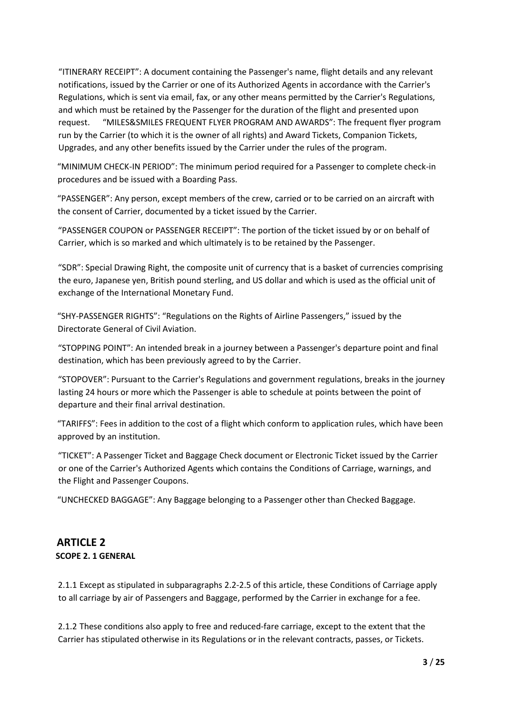"ITINERARY RECEIPT": A document containing the Passenger's name, flight details and any relevant notifications, issued by the Carrier or one of its Authorized Agents in accordance with the Carrier's Regulations, which is sent via email, fax, or any other means permitted by the Carrier's Regulations, and which must be retained by the Passenger for the duration of the flight and presented upon request. "MILES&SMILES FREQUENT FLYER PROGRAM AND AWARDS": The frequent flyer program run by the Carrier (to which it is the owner of all rights) and Award Tickets, Companion Tickets, Upgrades, and any other benefits issued by the Carrier under the rules of the program.

"MINIMUM CHECK-IN PERIOD": The minimum period required for a Passenger to complete check-in procedures and be issued with a Boarding Pass.

"PASSENGER": Any person, except members of the crew, carried or to be carried on an aircraft with the consent of Carrier, documented by a ticket issued by the Carrier.

"PASSENGER COUPON or PASSENGER RECEIPT": The portion of the ticket issued by or on behalf of Carrier, which is so marked and which ultimately is to be retained by the Passenger.

"SDR": Special Drawing Right, the composite unit of currency that is a basket of currencies comprising the euro, Japanese yen, British pound sterling, and US dollar and which is used as the official unit of exchange of the International Monetary Fund.

"SHY-PASSENGER RIGHTS": "Regulations on the Rights of Airline Passengers," issued by the Directorate General of Civil Aviation.

"STOPPING POINT": An intended break in a journey between a Passenger's departure point and final destination, which has been previously agreed to by the Carrier.

"STOPOVER": Pursuant to the Carrier's Regulations and government regulations, breaks in the journey lasting 24 hours or more which the Passenger is able to schedule at points between the point of departure and their final arrival destination.

"TARIFFS": Fees in addition to the cost of a flight which conform to application rules, which have been approved by an institution.

"TICKET": A Passenger Ticket and Baggage Check document or Electronic Ticket issued by the Carrier or one of the Carrier's Authorized Agents which contains the Conditions of Carriage, warnings, and the Flight and Passenger Coupons.

"UNCHECKED BAGGAGE": Any Baggage belonging to a Passenger other than Checked Baggage.

# **ARTICLE 2 SCOPE 2. 1 GENERAL**

2.1.1 Except as stipulated in subparagraphs 2.2-2.5 of this article, these Conditions of Carriage apply to all carriage by air of Passengers and Baggage, performed by the Carrier in exchange for a fee.

2.1.2 These conditions also apply to free and reduced-fare carriage, except to the extent that the Carrier has stipulated otherwise in its Regulations or in the relevant contracts, passes, or Tickets.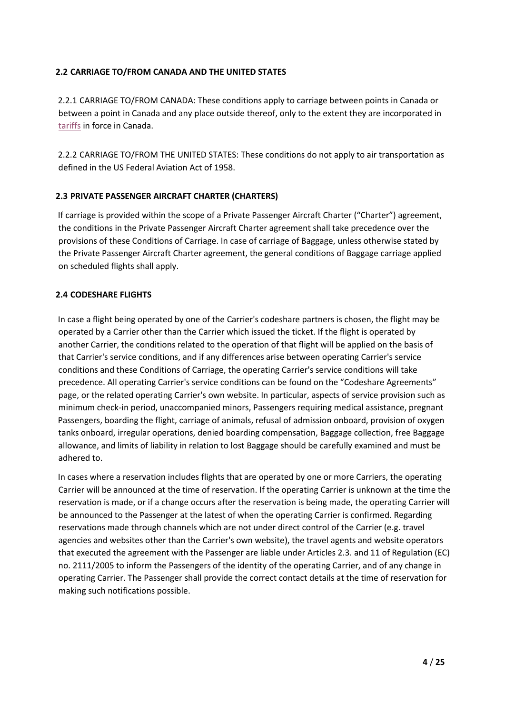### **2.2 CARRIAGE TO/FROM CANADA AND THE UNITED STATES**

2.2.1 CARRIAGE TO/FROM CANADA: These conditions apply to carriage between points in Canada or between a point in Canada and any place outside thereof, only to the extent they are incorporated in [tariffs](https://turkishairlines.dist.sdlmedia.com/distributions/?o=9E19B504-E65F-4228-A240-483BD43A52CE) [in](https://turkishairlines.dist.sdlmedia.com/distributions/?o=9E19B504-E65F-4228-A240-483BD43A52CE) [for](https://turkishairlines.dist.sdlmedia.com/distributions/?o=9E19B504-E65F-4228-A240-483BD43A52CE)ce in Canada.

2.2.2 CARRIAGE TO/FROM THE UNITED STATES: These conditions do not apply to air transportation as defined in the US Federal Aviation Act of 1958.

# **2.3 PRIVATE PASSENGER AIRCRAFT CHARTER (CHARTERS)**

If carriage is provided within the scope of a Private Passenger Aircraft Charter ("Charter") agreement, the conditions in the Private Passenger Aircraft Charter agreement shall take precedence over the provisions of these Conditions of Carriage. In case of carriage of Baggage, unless otherwise stated by the Private Passenger Aircraft Charter agreement, the general conditions of Baggage carriage applied on scheduled flights shall apply.

# **2.4 CODESHARE FLIGHTS**

In case a flight being operated by one of the Carrier's codeshare partners is chosen, the flight may be operated by a Carrier other than the Carrier which issued the ticket. If the flight is operated by another Carrier, the conditions related to the operation of that flight will be applied on the basis of that Carrier's service conditions, and if any differences arise between operating Carrier's service conditions and these Conditions of Carriage, the operating Carrier's service conditions will take precedence. All operating Carrier's service conditions can be found on the "Codeshare Agreements" page, or the related operating Carrier's own website. In particular, aspects of service provision such as minimum check-in period, unaccompanied minors, Passengers requiring medical assistance, pregnant Passengers, boarding the flight, carriage of animals, refusal of admission onboard, provision of oxygen tanks onboard, irregular operations, denied boarding compensation, Baggage collection, free Baggage allowance, and limits of liability in relation to lost Baggage should be carefully examined and must be adhered to.

In cases where a reservation includes flights that are operated by one or more Carriers, the operating Carrier will be announced at the time of reservation. If the operating Carrier is unknown at the time the reservation is made, or if a change occurs after the reservation is being made, the operating Carrier will be announced to the Passenger at the latest of when the operating Carrier is confirmed. Regarding reservations made through channels which are not under direct control of the Carrier (e.g. travel agencies and websites other than the Carrier's own website), the travel agents and website operators that executed the agreement with the Passenger are liable under Articles 2.3. and 11 of Regulation (EC) no. 2111/2005 to inform the Passengers of the identity of the operating Carrier, and of any change in operating Carrier. The Passenger shall provide the correct contact details at the time of reservation for making such notifications possible.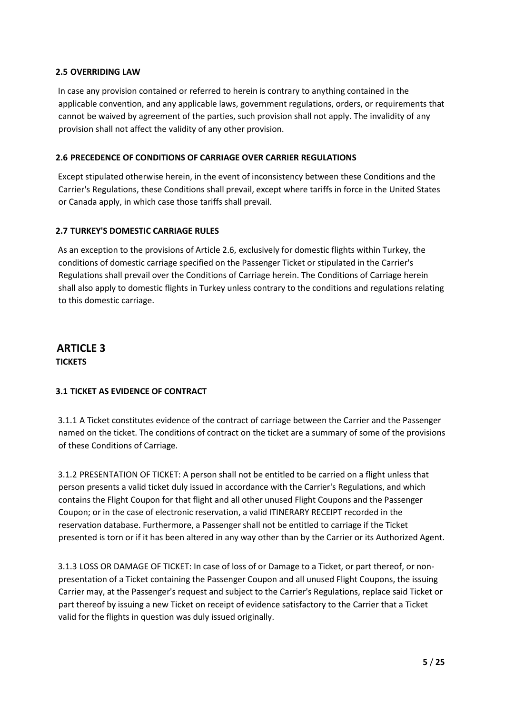### **2.5 OVERRIDING LAW**

In case any provision contained or referred to herein is contrary to anything contained in the applicable convention, and any applicable laws, government regulations, orders, or requirements that cannot be waived by agreement of the parties, such provision shall not apply. The invalidity of any provision shall not affect the validity of any other provision.

### **2.6 PRECEDENCE OF CONDITIONS OF CARRIAGE OVER CARRIER REGULATIONS**

Except stipulated otherwise herein, in the event of inconsistency between these Conditions and the Carrier's Regulations, these Conditions shall prevail, except where tariffs in force in the United States or Canada apply, in which case those tariffs shall prevail.

### **2.7 TURKEY'S DOMESTIC CARRIAGE RULES**

As an exception to the provisions of Article 2.6, exclusively for domestic flights within Turkey, the conditions of domestic carriage specified on the Passenger Ticket or stipulated in the Carrier's Regulations shall prevail over the Conditions of Carriage herein. The Conditions of Carriage herein shall also apply to domestic flights in Turkey unless contrary to the conditions and regulations relating to this domestic carriage.

# **ARTICLE 3 TICKETS**

### **3.1 TICKET AS EVIDENCE OF CONTRACT**

3.1.1 A Ticket constitutes evidence of the contract of carriage between the Carrier and the Passenger named on the ticket. The conditions of contract on the ticket are a summary of some of the provisions of these Conditions of Carriage.

3.1.2 PRESENTATION OF TICKET: A person shall not be entitled to be carried on a flight unless that person presents a valid ticket duly issued in accordance with the Carrier's Regulations, and which contains the Flight Coupon for that flight and all other unused Flight Coupons and the Passenger Coupon; or in the case of electronic reservation, a valid ITINERARY RECEIPT recorded in the reservation database. Furthermore, a Passenger shall not be entitled to carriage if the Ticket presented is torn or if it has been altered in any way other than by the Carrier or its Authorized Agent.

3.1.3 LOSS OR DAMAGE OF TICKET: In case of loss of or Damage to a Ticket, or part thereof, or nonpresentation of a Ticket containing the Passenger Coupon and all unused Flight Coupons, the issuing Carrier may, at the Passenger's request and subject to the Carrier's Regulations, replace said Ticket or part thereof by issuing a new Ticket on receipt of evidence satisfactory to the Carrier that a Ticket valid for the flights in question was duly issued originally.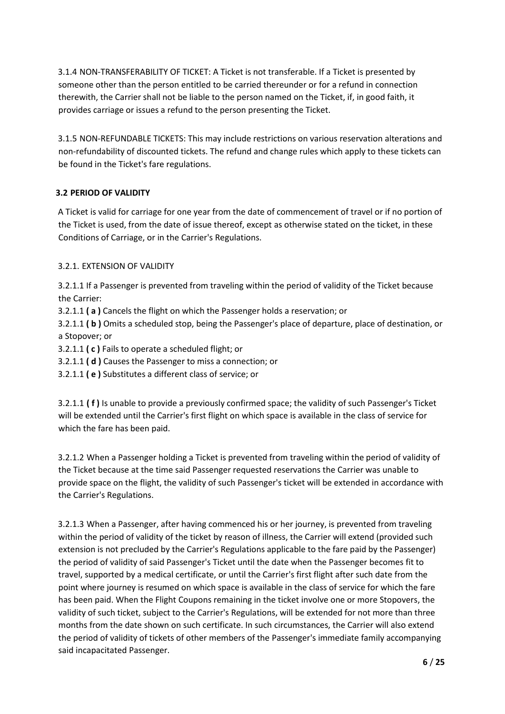3.1.4 NON-TRANSFERABILITY OF TICKET: A Ticket is not transferable. If a Ticket is presented by someone other than the person entitled to be carried thereunder or for a refund in connection therewith, the Carrier shall not be liable to the person named on the Ticket, if, in good faith, it provides carriage or issues a refund to the person presenting the Ticket.

3.1.5 NON-REFUNDABLE TICKETS: This may include restrictions on various reservation alterations and non-refundability of discounted tickets. The refund and change rules which apply to these tickets can be found in the Ticket's fare regulations.

# **3.2 PERIOD OF VALIDITY**

A Ticket is valid for carriage for one year from the date of commencement of travel or if no portion of the Ticket is used, from the date of issue thereof, except as otherwise stated on the ticket, in these Conditions of Carriage, or in the Carrier's Regulations.

# 3.2.1. EXTENSION OF VALIDITY

3.2.1.1 If a Passenger is prevented from traveling within the period of validity of the Ticket because the Carrier:

3.2.1.1 **( a )** Cancels the flight on which the Passenger holds a reservation; or

3.2.1.1 **( b )** Omits a scheduled stop, being the Passenger's place of departure, place of destination, or a Stopover; or

3.2.1.1 **( c )** Fails to operate a scheduled flight; or

3.2.1.1 **( d )** Causes the Passenger to miss a connection; or

3.2.1.1 **( e )** Substitutes a different class of service; or

3.2.1.1 **( f )** Is unable to provide a previously confirmed space; the validity of such Passenger's Ticket will be extended until the Carrier's first flight on which space is available in the class of service for which the fare has been paid.

3.2.1.2 When a Passenger holding a Ticket is prevented from traveling within the period of validity of the Ticket because at the time said Passenger requested reservations the Carrier was unable to provide space on the flight, the validity of such Passenger's ticket will be extended in accordance with the Carrier's Regulations.

3.2.1.3 When a Passenger, after having commenced his or her journey, is prevented from traveling within the period of validity of the ticket by reason of illness, the Carrier will extend (provided such extension is not precluded by the Carrier's Regulations applicable to the fare paid by the Passenger) the period of validity of said Passenger's Ticket until the date when the Passenger becomes fit to travel, supported by a medical certificate, or until the Carrier's first flight after such date from the point where journey is resumed on which space is available in the class of service for which the fare has been paid. When the Flight Coupons remaining in the ticket involve one or more Stopovers, the validity of such ticket, subject to the Carrier's Regulations, will be extended for not more than three months from the date shown on such certificate. In such circumstances, the Carrier will also extend the period of validity of tickets of other members of the Passenger's immediate family accompanying said incapacitated Passenger.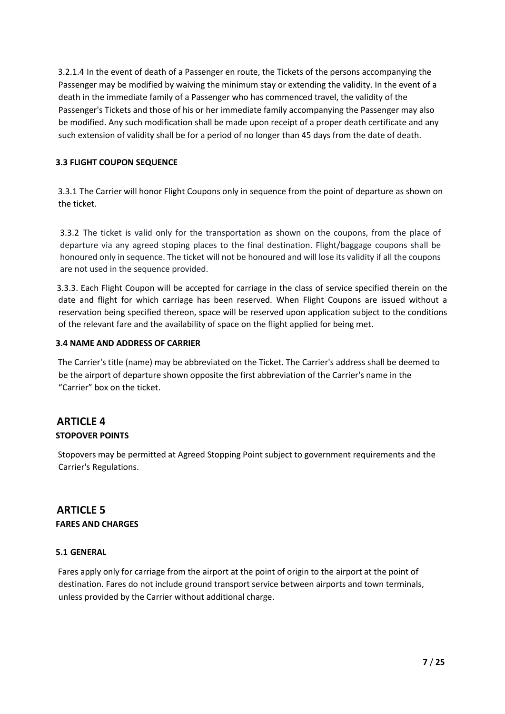3.2.1.4 In the event of death of a Passenger en route, the Tickets of the persons accompanying the Passenger may be modified by waiving the minimum stay or extending the validity. In the event of a death in the immediate family of a Passenger who has commenced travel, the validity of the Passenger's Tickets and those of his or her immediate family accompanying the Passenger may also be modified. Any such modification shall be made upon receipt of a proper death certificate and any such extension of validity shall be for a period of no longer than 45 days from the date of death.

### **3.3 FLIGHT COUPON SEQUENCE**

3.3.1 The Carrier will honor Flight Coupons only in sequence from the point of departure as shown on the ticket.

3.3.2 The ticket is valid only for the transportation as shown on the coupons, from the place of departure via any agreed stoping places to the final destination. Flight/baggage coupons shall be honoured only in sequence. The ticket will not be honoured and will lose its validity if all the coupons are not used in the sequence provided.

3.3.3. Each Flight Coupon will be accepted for carriage in the class of service specified therein on the date and flight for which carriage has been reserved. When Flight Coupons are issued without a reservation being specified thereon, space will be reserved upon application subject to the conditions of the relevant fare and the availability of space on the flight applied for being met.

#### **3.4 NAME AND ADDRESS OF CARRIER**

The Carrier's title (name) may be abbreviated on the Ticket. The Carrier's address shall be deemed to be the airport of departure shown opposite the first abbreviation of the Carrier's name in the "Carrier" box on the ticket.

# **ARTICLE 4 STOPOVER POINTS**

Stopovers may be permitted at Agreed Stopping Point subject to government requirements and the Carrier's Regulations.

# **ARTICLE 5 FARES AND CHARGES**

#### **5.1 GENERAL**

Fares apply only for carriage from the airport at the point of origin to the airport at the point of destination. Fares do not include ground transport service between airports and town terminals, unless provided by the Carrier without additional charge.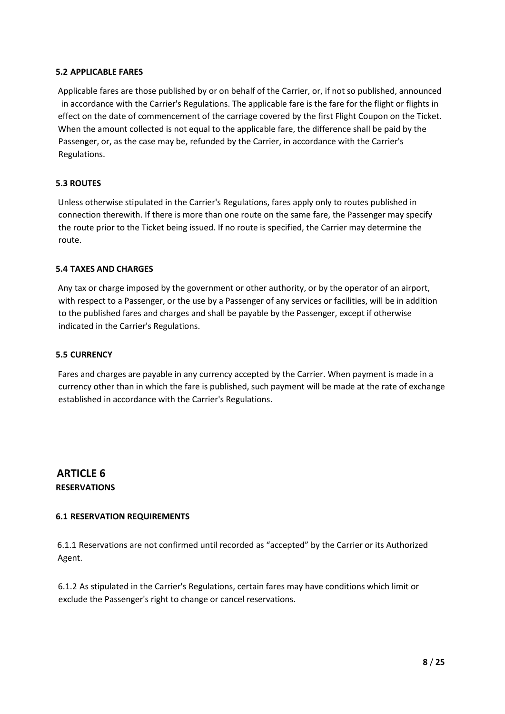#### **5.2 APPLICABLE FARES**

Applicable fares are those published by or on behalf of the Carrier, or, if not so published, announced in accordance with the Carrier's Regulations. The applicable fare is the fare for the flight or flights in effect on the date of commencement of the carriage covered by the first Flight Coupon on the Ticket. When the amount collected is not equal to the applicable fare, the difference shall be paid by the Passenger, or, as the case may be, refunded by the Carrier, in accordance with the Carrier's Regulations.

#### **5.3 ROUTES**

Unless otherwise stipulated in the Carrier's Regulations, fares apply only to routes published in connection therewith. If there is more than one route on the same fare, the Passenger may specify the route prior to the Ticket being issued. If no route is specified, the Carrier may determine the route.

#### **5.4 TAXES AND CHARGES**

Any tax or charge imposed by the government or other authority, or by the operator of an airport, with respect to a Passenger, or the use by a Passenger of any services or facilities, will be in addition to the published fares and charges and shall be payable by the Passenger, except if otherwise indicated in the Carrier's Regulations.

#### **5.5 CURRENCY**

Fares and charges are payable in any currency accepted by the Carrier. When payment is made in a currency other than in which the fare is published, such payment will be made at the rate of exchange established in accordance with the Carrier's Regulations.

# **ARTICLE 6 RESERVATIONS**

#### **6.1 RESERVATION REQUIREMENTS**

6.1.1 Reservations are not confirmed until recorded as "accepted" by the Carrier or its Authorized Agent.

6.1.2 As stipulated in the Carrier's Regulations, certain fares may have conditions which limit or exclude the Passenger's right to change or cancel reservations.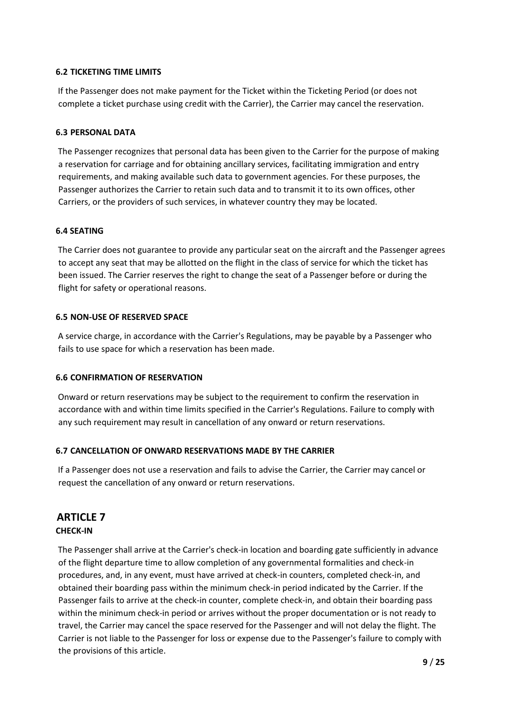### **6.2 TICKETING TIME LIMITS**

If the Passenger does not make payment for the Ticket within the Ticketing Period (or does not complete a ticket purchase using credit with the Carrier), the Carrier may cancel the reservation.

#### **6.3 PERSONAL DATA**

The Passenger recognizes that personal data has been given to the Carrier for the purpose of making a reservation for carriage and for obtaining ancillary services, facilitating immigration and entry requirements, and making available such data to government agencies. For these purposes, the Passenger authorizes the Carrier to retain such data and to transmit it to its own offices, other Carriers, or the providers of such services, in whatever country they may be located.

#### **6.4 SEATING**

The Carrier does not guarantee to provide any particular seat on the aircraft and the Passenger agrees to accept any seat that may be allotted on the flight in the class of service for which the ticket has been issued. The Carrier reserves the right to change the seat of a Passenger before or during the flight for safety or operational reasons.

#### **6.5 NON-USE OF RESERVED SPACE**

A service charge, in accordance with the Carrier's Regulations, may be payable by a Passenger who fails to use space for which a reservation has been made.

### **6.6 CONFIRMATION OF RESERVATION**

Onward or return reservations may be subject to the requirement to confirm the reservation in accordance with and within time limits specified in the Carrier's Regulations. Failure to comply with any such requirement may result in cancellation of any onward or return reservations.

### **6.7 CANCELLATION OF ONWARD RESERVATIONS MADE BY THE CARRIER**

If a Passenger does not use a reservation and fails to advise the Carrier, the Carrier may cancel or request the cancellation of any onward or return reservations.

# **ARTICLE 7**

#### **CHECK-IN**

The Passenger shall arrive at the Carrier's check-in location and boarding gate sufficiently in advance of the flight departure time to allow completion of any governmental formalities and check-in procedures, and, in any event, must have arrived at check-in counters, completed check-in, and obtained their boarding pass within the minimum check-in period indicated by the Carrier. If the Passenger fails to arrive at the check-in counter, complete check-in, and obtain their boarding pass within the minimum check-in period or arrives without the proper documentation or is not ready to travel, the Carrier may cancel the space reserved for the Passenger and will not delay the flight. The Carrier is not liable to the Passenger for loss or expense due to the Passenger's failure to comply with the provisions of this article.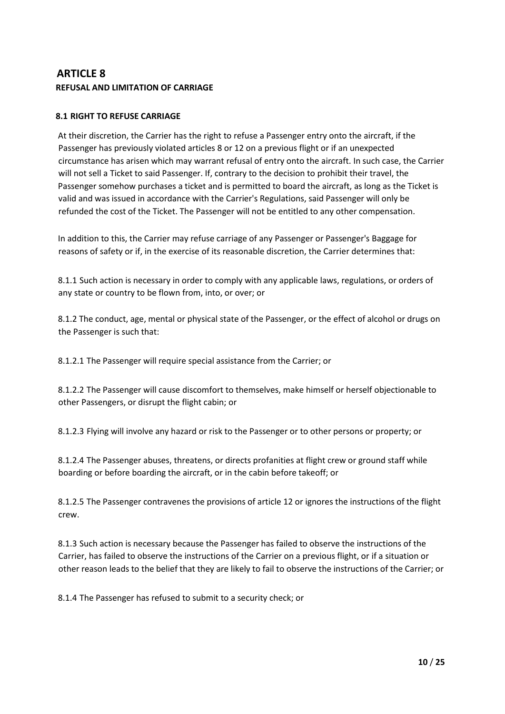# **ARTICLE 8 REFUSAL AND LIMITATION OF CARRIAGE**

### **8.1 RIGHT TO REFUSE CARRIAGE**

At their discretion, the Carrier has the right to refuse a Passenger entry onto the aircraft, if the Passenger has previously violated articles 8 or 12 on a previous flight or if an unexpected circumstance has arisen which may warrant refusal of entry onto the aircraft. In such case, the Carrier will not sell a Ticket to said Passenger. If, contrary to the decision to prohibit their travel, the Passenger somehow purchases a ticket and is permitted to board the aircraft, as long as the Ticket is valid and was issued in accordance with the Carrier's Regulations, said Passenger will only be refunded the cost of the Ticket. The Passenger will not be entitled to any other compensation.

In addition to this, the Carrier may refuse carriage of any Passenger or Passenger's Baggage for reasons of safety or if, in the exercise of its reasonable discretion, the Carrier determines that:

8.1.1 Such action is necessary in order to comply with any applicable laws, regulations, or orders of any state or country to be flown from, into, or over; or

8.1.2 The conduct, age, mental or physical state of the Passenger, or the effect of alcohol or drugs on the Passenger is such that:

8.1.2.1 The Passenger will require special assistance from the Carrier; or

8.1.2.2 The Passenger will cause discomfort to themselves, make himself or herself objectionable to other Passengers, or disrupt the flight cabin; or

8.1.2.3 Flying will involve any hazard or risk to the Passenger or to other persons or property; or

8.1.2.4 The Passenger abuses, threatens, or directs profanities at flight crew or ground staff while boarding or before boarding the aircraft, or in the cabin before takeoff; or

8.1.2.5 The Passenger contravenes the provisions of article 12 or ignores the instructions of the flight crew.

8.1.3 Such action is necessary because the Passenger has failed to observe the instructions of the Carrier, has failed to observe the instructions of the Carrier on a previous flight, or if a situation or other reason leads to the belief that they are likely to fail to observe the instructions of the Carrier; or

8.1.4 The Passenger has refused to submit to a security check; or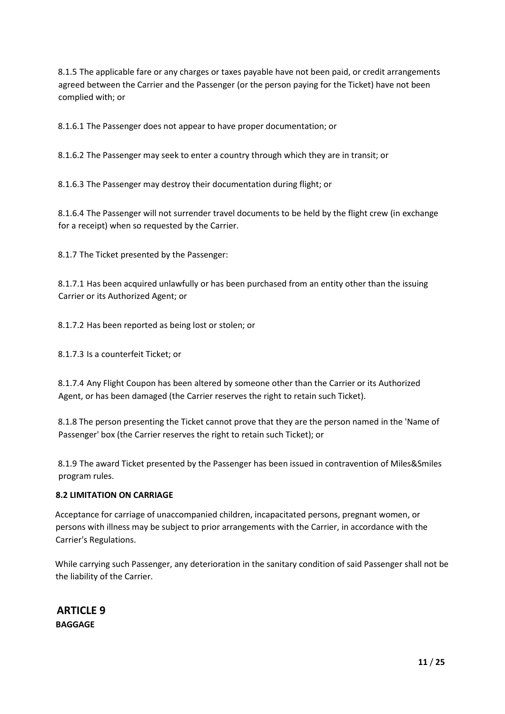8.1.5 The applicable fare or any charges or taxes payable have not been paid, or credit arrangements agreed between the Carrier and the Passenger (or the person paying for the Ticket) have not been complied with; or

8.1.6.1 The Passenger does not appear to have proper documentation; or

8.1.6.2 The Passenger may seek to enter a country through which they are in transit; or

8.1.6.3 The Passenger may destroy their documentation during flight; or

8.1.6.4 The Passenger will not surrender travel documents to be held by the flight crew (in exchange for a receipt) when so requested by the Carrier.

8.1.7 The Ticket presented by the Passenger:

8.1.7.1 Has been acquired unlawfully or has been purchased from an entity other than the issuing Carrier or its Authorized Agent; or

8.1.7.2 Has been reported as being lost or stolen; or

8.1.7.3 Is a counterfeit Ticket; or

8.1.7.4 Any Flight Coupon has been altered by someone other than the Carrier or its Authorized Agent, or has been damaged (the Carrier reserves the right to retain such Ticket).

8.1.8 The person presenting the Ticket cannot prove that they are the person named in the 'Name of Passenger' box (the Carrier reserves the right to retain such Ticket); or

8.1.9 The award Ticket presented by the Passenger has been issued in contravention of Miles&Smiles program rules.

#### **8.2 LIMITATION ON CARRIAGE**

Acceptance for carriage of unaccompanied children, incapacitated persons, pregnant women, or persons with illness may be subject to prior arrangements with the Carrier, in accordance with the Carrier's Regulations.

While carrying such Passenger, any deterioration in the sanitary condition of said Passenger shall not be the liability of the Carrier.

**ARTICLE 9 BAGGAGE**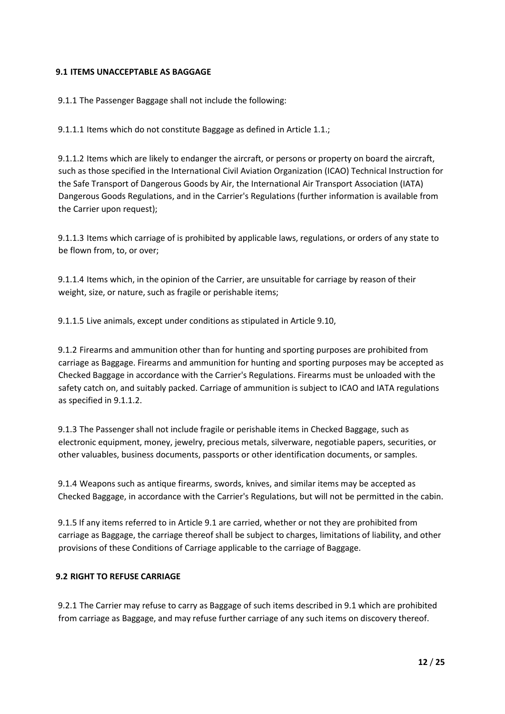### **9.1 ITEMS UNACCEPTABLE AS BAGGAGE**

9.1.1 The Passenger Baggage shall not include the following:

9.1.1.1 Items which do not constitute Baggage as defined in Article 1.1.;

9.1.1.2 Items which are likely to endanger the aircraft, or persons or property on board the aircraft, such as those specified in the International Civil Aviation Organization (ICAO) Technical Instruction for the Safe Transport of Dangerous Goods by Air, the International Air Transport Association (IATA) Dangerous Goods Regulations, and in the Carrier's Regulations (further information is available from the Carrier upon request);

9.1.1.3 Items which carriage of is prohibited by applicable laws, regulations, or orders of any state to be flown from, to, or over;

9.1.1.4 Items which, in the opinion of the Carrier, are unsuitable for carriage by reason of their weight, size, or nature, such as fragile or perishable items;

9.1.1.5 Live animals, except under conditions as stipulated in Article 9.10,

9.1.2 Firearms and ammunition other than for hunting and sporting purposes are prohibited from carriage as Baggage. Firearms and ammunition for hunting and sporting purposes may be accepted as Checked Baggage in accordance with the Carrier's Regulations. Firearms must be unloaded with the safety catch on, and suitably packed. Carriage of ammunition is subject to ICAO and IATA regulations as specified in 9.1.1.2.

9.1.3 The Passenger shall not include fragile or perishable items in Checked Baggage, such as electronic equipment, money, jewelry, precious metals, silverware, negotiable papers, securities, or other valuables, business documents, passports or other identification documents, or samples.

9.1.4 Weapons such as antique firearms, swords, knives, and similar items may be accepted as Checked Baggage, in accordance with the Carrier's Regulations, but will not be permitted in the cabin.

9.1.5 If any items referred to in Article 9.1 are carried, whether or not they are prohibited from carriage as Baggage, the carriage thereof shall be subject to charges, limitations of liability, and other provisions of these Conditions of Carriage applicable to the carriage of Baggage.

#### **9.2 RIGHT TO REFUSE CARRIAGE**

9.2.1 The Carrier may refuse to carry as Baggage of such items described in 9.1 which are prohibited from carriage as Baggage, and may refuse further carriage of any such items on discovery thereof.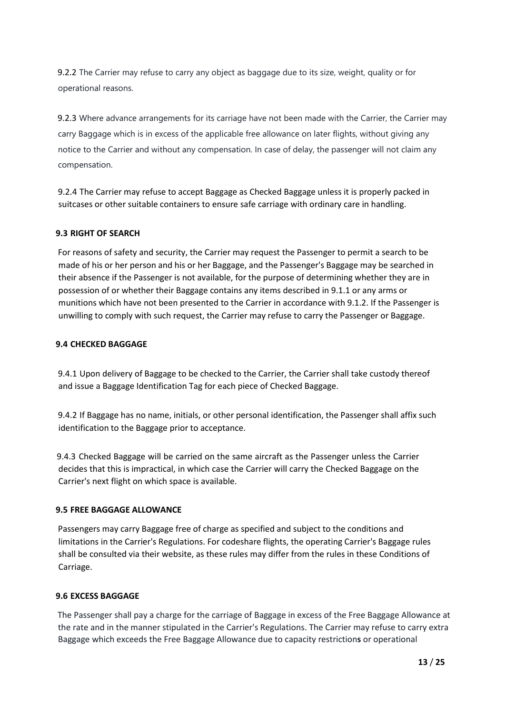9.2.2 The Carrier may refuse to carry any object as baggage due to its size, weight, quality or for operational reasons.

9.2.3 Where advance arrangements for its carriage have not been made with the Carrier, the Carrier may carry Baggage which is in excess of the applicable free allowance on later flights, without giving any notice to the Carrier and without any compensation. In case of delay, the passenger will not claim any compensation.

9.2.4 The Carrier may refuse to accept Baggage as Checked Baggage unless it is properly packed in suitcases or other suitable containers to ensure safe carriage with ordinary care in handling.

#### **9.3 RIGHT OF SEARCH**

For reasons of safety and security, the Carrier may request the Passenger to permit a search to be made of his or her person and his or her Baggage, and the Passenger's Baggage may be searched in their absence if the Passenger is not available, for the purpose of determining whether they are in possession of or whether their Baggage contains any items described in 9.1.1 or any arms or munitions which have not been presented to the Carrier in accordance with 9.1.2. If the Passenger is unwilling to comply with such request, the Carrier may refuse to carry the Passenger or Baggage.

#### **9.4 CHECKED BAGGAGE**

9.4.1 Upon delivery of Baggage to be checked to the Carrier, the Carrier shall take custody thereof and issue a Baggage Identification Tag for each piece of Checked Baggage.

9.4.2 If Baggage has no name, initials, or other personal identification, the Passenger shall affix such identification to the Baggage prior to acceptance.

9.4.3 Checked Baggage will be carried on the same aircraft as the Passenger unless the Carrier decides that this is impractical, in which case the Carrier will carry the Checked Baggage on the Carrier's next flight on which space is available.

#### **9.5 FREE BAGGAGE ALLOWANCE**

Passengers may carry Baggage free of charge as specified and subject to the conditions and limitations in the Carrier's Regulations. For codeshare flights, the operating Carrier's Baggage rules shall be consulted via their website, as these rules may differ from the rules in these Conditions of Carriage.

#### **9.6 EXCESS BAGGAGE**

The Passenger shall pay a charge for the carriage of Baggage in excess of the Free Baggage Allowance at the rate and in the manner stipulated in the Carrier's Regulations. The Carrier may refuse to carry extra Baggage which exceeds the Free Baggage Allowance due to capacity restriction**s** or operational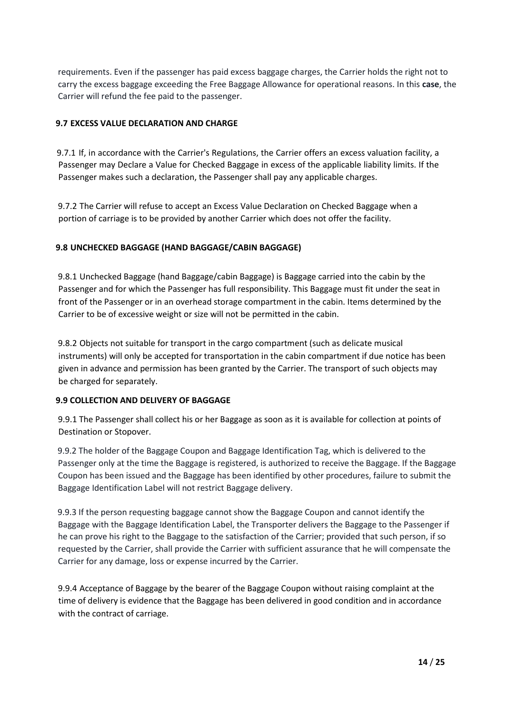requirements. Even if the passenger has paid excess baggage charges, the Carrier holds the right not to carry the excess baggage exceeding the Free Baggage Allowance for operational reasons. In this **case**, the Carrier will refund the fee paid to the passenger.

#### **9.7 EXCESS VALUE DECLARATION AND CHARGE**

9.7.1 If, in accordance with the Carrier's Regulations, the Carrier offers an excess valuation facility, a Passenger may Declare a Value for Checked Baggage in excess of the applicable liability limits. If the Passenger makes such a declaration, the Passenger shall pay any applicable charges.

9.7.2 The Carrier will refuse to accept an Excess Value Declaration on Checked Baggage when a portion of carriage is to be provided by another Carrier which does not offer the facility.

#### **9.8 UNCHECKED BAGGAGE (HAND BAGGAGE/CABIN BAGGAGE)**

9.8.1 Unchecked Baggage (hand Baggage/cabin Baggage) is Baggage carried into the cabin by the Passenger and for which the Passenger has full responsibility. This Baggage must fit under the seat in front of the Passenger or in an overhead storage compartment in the cabin. Items determined by the Carrier to be of excessive weight or size will not be permitted in the cabin.

9.8.2 Objects not suitable for transport in the cargo compartment (such as delicate musical instruments) will only be accepted for transportation in the cabin compartment if due notice has been given in advance and permission has been granted by the Carrier. The transport of such objects may be charged for separately.

#### **9.9 COLLECTION AND DELIVERY OF BAGGAGE**

9.9.1 The Passenger shall collect his or her Baggage as soon as it is available for collection at points of Destination or Stopover.

9.9.2 The holder of the Baggage Coupon and Baggage Identification Tag, which is delivered to the Passenger only at the time the Baggage is registered, is authorized to receive the Baggage. If the Baggage Coupon has been issued and the Baggage has been identified by other procedures, failure to submit the Baggage Identification Label will not restrict Baggage delivery.

9.9.3 If the person requesting baggage cannot show the Baggage Coupon and cannot identify the Baggage with the Baggage Identification Label, the Transporter delivers the Baggage to the Passenger if he can prove his right to the Baggage to the satisfaction of the Carrier; provided that such person, if so requested by the Carrier, shall provide the Carrier with sufficient assurance that he will compensate the Carrier for any damage, loss or expense incurred by the Carrier.

9.9.4 Acceptance of Baggage by the bearer of the Baggage Coupon without raising complaint at the time of delivery is evidence that the Baggage has been delivered in good condition and in accordance with the contract of carriage.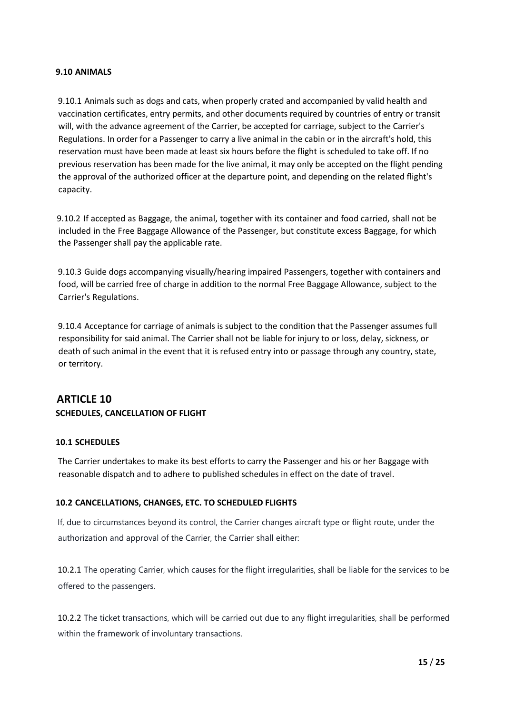#### **9.10 ANIMALS**

9.10.1 Animals such as dogs and cats, when properly crated and accompanied by valid health and vaccination certificates, entry permits, and other documents required by countries of entry or transit will, with the advance agreement of the Carrier, be accepted for carriage, subject to the Carrier's Regulations. In order for a Passenger to carry a live animal in the cabin or in the aircraft's hold, this reservation must have been made at least six hours before the flight is scheduled to take off. If no previous reservation has been made for the live animal, it may only be accepted on the flight pending the approval of the authorized officer at the departure point, and depending on the related flight's capacity.

9.10.2 If accepted as Baggage, the animal, together with its container and food carried, shall not be included in the Free Baggage Allowance of the Passenger, but constitute excess Baggage, for which the Passenger shall pay the applicable rate.

9.10.3 Guide dogs accompanying visually/hearing impaired Passengers, together with containers and food, will be carried free of charge in addition to the normal Free Baggage Allowance, subject to the Carrier's Regulations.

9.10.4 Acceptance for carriage of animals is subject to the condition that the Passenger assumes full responsibility for said animal. The Carrier shall not be liable for injury to or loss, delay, sickness, or death of such animal in the event that it is refused entry into or passage through any country, state, or territory.

# **ARTICLE 10 SCHEDULES, CANCELLATION OF FLIGHT**

#### **10.1 SCHEDULES**

The Carrier undertakes to make its best efforts to carry the Passenger and his or her Baggage with reasonable dispatch and to adhere to published schedules in effect on the date of travel.

#### **10.2 CANCELLATIONS, CHANGES, ETC. TO SCHEDULED FLIGHTS**

If, due to circumstances beyond its control, the Carrier changes aircraft type or flight route, under the authorization and approval of the Carrier, the Carrier shall either:

10.2.1 The operating Carrier, which causes for the flight irregularities, shall be liable for the services to be offered to the passengers.

10.2.2 The ticket transactions, which will be carried out due to any flight irregularities, shall be performed within the framework of involuntary transactions.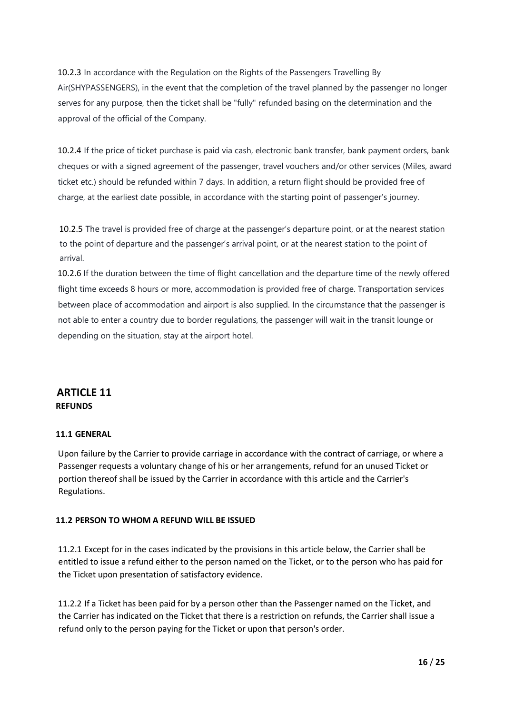10.2.3 In accordance with the Regulation on the Rights of the Passengers Travelling By Air(SHYPASSENGERS), in the event that the completion of the travel planned by the passenger no longer serves for any purpose, then the ticket shall be "fully" refunded basing on the determination and the approval of the official of the Company.

10.2.4 If the price of ticket purchase is paid via cash, electronic bank transfer, bank payment orders, bank cheques or with a signed agreement of the passenger, travel vouchers and/or other services (Miles, award ticket etc.) should be refunded within 7 days. In addition, a return flight should be provided free of charge, at the earliest date possible, in accordance with the starting point of passenger's journey.

10.2.5 The travel is provided free of charge at the passenger's departure point, or at the nearest station to the point of departure and the passenger's arrival point, or at the nearest station to the point of arrival.

10.2.6 If the duration between the time of flight cancellation and the departure time of the newly offered flight time exceeds 8 hours or more, accommodation is provided free of charge. Transportation services between place of accommodation and airport is also supplied. In the circumstance that the passenger is not able to enter a country due to border regulations, the passenger will wait in the transit lounge or depending on the situation, stay at the airport hotel.

# **ARTICLE 11 REFUNDS**

### **11.1 GENERAL**

Upon failure by the Carrier to provide carriage in accordance with the contract of carriage, or where a Passenger requests a voluntary change of his or her arrangements, refund for an unused Ticket or portion thereof shall be issued by the Carrier in accordance with this article and the Carrier's Regulations.

### **11.2 PERSON TO WHOM A REFUND WILL BE ISSUED**

11.2.1 Except for in the cases indicated by the provisions in this article below, the Carrier shall be entitled to issue a refund either to the person named on the Ticket, or to the person who has paid for the Ticket upon presentation of satisfactory evidence.

11.2.2 If a Ticket has been paid for by a person other than the Passenger named on the Ticket, and the Carrier has indicated on the Ticket that there is a restriction on refunds, the Carrier shall issue a refund only to the person paying for the Ticket or upon that person's order.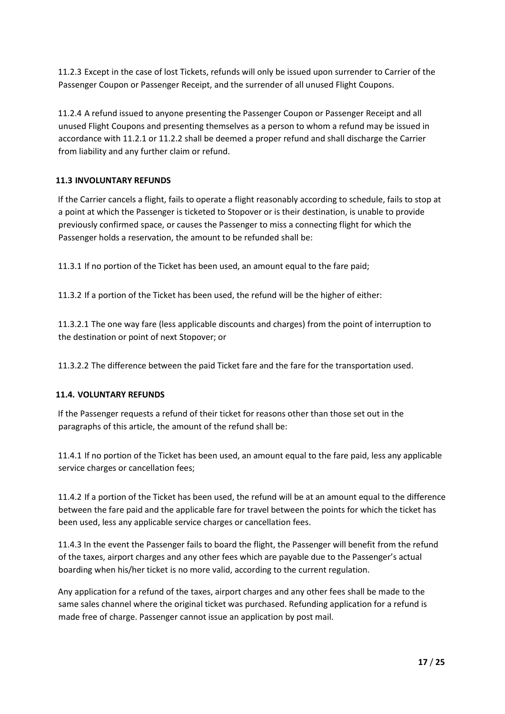11.2.3 Except in the case of lost Tickets, refunds will only be issued upon surrender to Carrier of the Passenger Coupon or Passenger Receipt, and the surrender of all unused Flight Coupons.

11.2.4 A refund issued to anyone presenting the Passenger Coupon or Passenger Receipt and all unused Flight Coupons and presenting themselves as a person to whom a refund may be issued in accordance with 11.2.1 or 11.2.2 shall be deemed a proper refund and shall discharge the Carrier from liability and any further claim or refund.

# **11.3 INVOLUNTARY REFUNDS**

If the Carrier cancels a flight, fails to operate a flight reasonably according to schedule, fails to stop at a point at which the Passenger is ticketed to Stopover or is their destination, is unable to provide previously confirmed space, or causes the Passenger to miss a connecting flight for which the Passenger holds a reservation, the amount to be refunded shall be:

11.3.1 If no portion of the Ticket has been used, an amount equal to the fare paid;

11.3.2 If a portion of the Ticket has been used, the refund will be the higher of either:

11.3.2.1 The one way fare (less applicable discounts and charges) from the point of interruption to the destination or point of next Stopover; or

11.3.2.2 The difference between the paid Ticket fare and the fare for the transportation used.

#### **11.4. VOLUNTARY REFUNDS**

If the Passenger requests a refund of their ticket for reasons other than those set out in the paragraphs of this article, the amount of the refund shall be:

11.4.1 If no portion of the Ticket has been used, an amount equal to the fare paid, less any applicable service charges or cancellation fees;

11.4.2 If a portion of the Ticket has been used, the refund will be at an amount equal to the difference between the fare paid and the applicable fare for travel between the points for which the ticket has been used, less any applicable service charges or cancellation fees.

11.4.3 In the event the Passenger fails to board the flight, the Passenger will benefit from the refund of the taxes, airport charges and any other fees which are payable due to the Passenger's actual boarding when his/her ticket is no more valid, according to the current regulation.

Any application for a refund of the taxes, airport charges and any other fees shall be made to the same sales channel where the original ticket was purchased. Refunding application for a refund is made free of charge. Passenger cannot issue an application by post mail.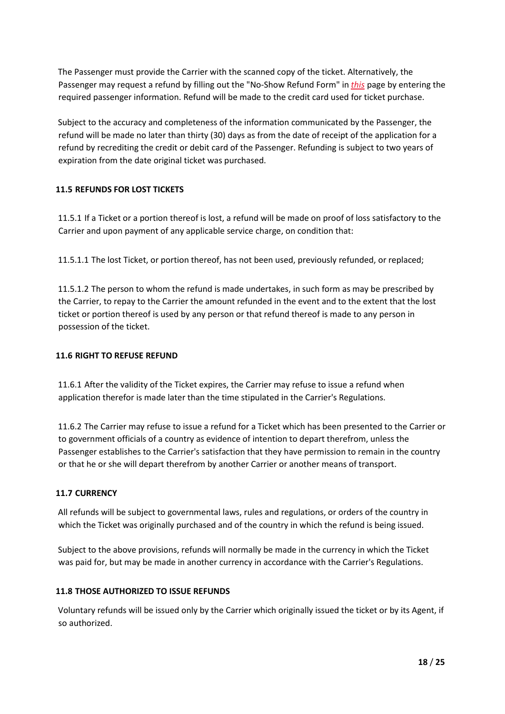The Passenger must provide the Carrier with the scanned copy of the ticket. Alternatively, the Passenger may request a refund by filling out the "No-Show Refund Form" i[n](https://www.turkishairlines.com/en-fr/flights/manage-booking) *[this](https://www.turkishairlines.com/en-fr/flights/manage-booking)* [pa](https://www.turkishairlines.com/en-fr/flights/manage-booking)ge by entering the required passenger information. Refund will be made to the credit card used for ticket purchase.

Subject to the accuracy and completeness of the information communicated by the Passenger, the refund will be made no later than thirty (30) days as from the date of receipt of the application for a refund by recrediting the credit or debit card of the Passenger. Refunding is subject to two years of expiration from the date original ticket was purchased.

### **11.5 REFUNDS FOR LOST TICKETS**

11.5.1 If a Ticket or a portion thereof is lost, a refund will be made on proof of loss satisfactory to the Carrier and upon payment of any applicable service charge, on condition that:

11.5.1.1 The lost Ticket, or portion thereof, has not been used, previously refunded, or replaced;

11.5.1.2 The person to whom the refund is made undertakes, in such form as may be prescribed by the Carrier, to repay to the Carrier the amount refunded in the event and to the extent that the lost ticket or portion thereof is used by any person or that refund thereof is made to any person in possession of the ticket.

#### **11.6 RIGHT TO REFUSE REFUND**

11.6.1 After the validity of the Ticket expires, the Carrier may refuse to issue a refund when application therefor is made later than the time stipulated in the Carrier's Regulations.

11.6.2 The Carrier may refuse to issue a refund for a Ticket which has been presented to the Carrier or to government officials of a country as evidence of intention to depart therefrom, unless the Passenger establishes to the Carrier's satisfaction that they have permission to remain in the country or that he or she will depart therefrom by another Carrier or another means of transport.

#### **11.7 CURRENCY**

All refunds will be subject to governmental laws, rules and regulations, or orders of the country in which the Ticket was originally purchased and of the country in which the refund is being issued.

Subject to the above provisions, refunds will normally be made in the currency in which the Ticket was paid for, but may be made in another currency in accordance with the Carrier's Regulations.

#### **11.8 THOSE AUTHORIZED TO ISSUE REFUNDS**

Voluntary refunds will be issued only by the Carrier which originally issued the ticket or by its Agent, if so authorized.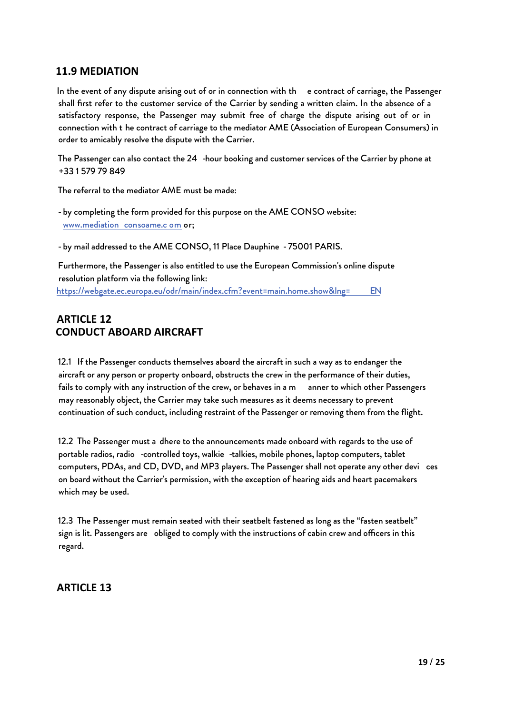# **11.9 MEDIATION**

In the event of any dispute arising out of or in connection with th e contract of carriage, the Passenger shall first refer to the customer service of the Carrier by sending a written claim. In the absence of a satisfactory response, the Passenger may submit free of charge the dispute arising out of or in connection with t he contract of carriage to the mediator AME (Association of European Consumers) in order to amicably resolve the dispute with the Carrier.

The Passenger can also contact the 24 -hour booking and customer services of the Carrier by phone at +33 1 579 79 849

The referral to the mediator AME must be made:

- by completing the form provided for this purpose on the AME CONSO website: [www.mediation](http://www.mediationconso-ame.com/) co[nsoame.c](http://www.mediationconso-ame.com/) [om](http://www.mediationconso-ame.com/) [or;](http://www.mediationconso-ame.com/)

- by mail addressed to the AME CONSO, 11 Place Dauphine - 75001 PARIS.

Furthermore, the Passenger is also entitled to use the European Commission's online dispute resolution platform via the following link: [https://webgate.ec.europa.eu/odr/main/index.cfm?event=main.home.show&lng=](https://webgate.ec.europa.eu/odr/main/index.cfm?event=main.home.show&lng=EN) [EN](https://webgate.ec.europa.eu/odr/main/index.cfm?event=main.home.show&lng=EN) 

# **ARTICLE 12 CONDUCT ABOARD AIRCRAFT**

12.1 If the Passenger conducts themselves aboard the aircraft in such a way as to endanger the aircraft or any person or property onboard, obstructs the crew in the performance of their duties, fails to comply with any instruction of the crew, or behaves in a m anner to which other Passengers may reasonably object, the Carrier may take such measures as it deems necessary to prevent continuation of such conduct, including restraint of the Passenger or removing them from the flight.

12.2 The Passenger must a dhere to the announcements made onboard with regards to the use of portable radios, radio -controlled toys, walkie -talkies, mobile phones, laptop computers, tablet computers, PDAs, and CD, DVD, and MP3 players. The Passenger shall not operate any other devi ces on board without the Carrier's permission, with the exception of hearing aids and heart pacemakers which may be used.

12.3 The Passenger must remain seated with their seatbelt fastened as long as the "fasten seatbelt" sign is lit. Passengers are obliged to comply with the instructions of cabin crew and officers in this regard.

# **ARTICLE 13**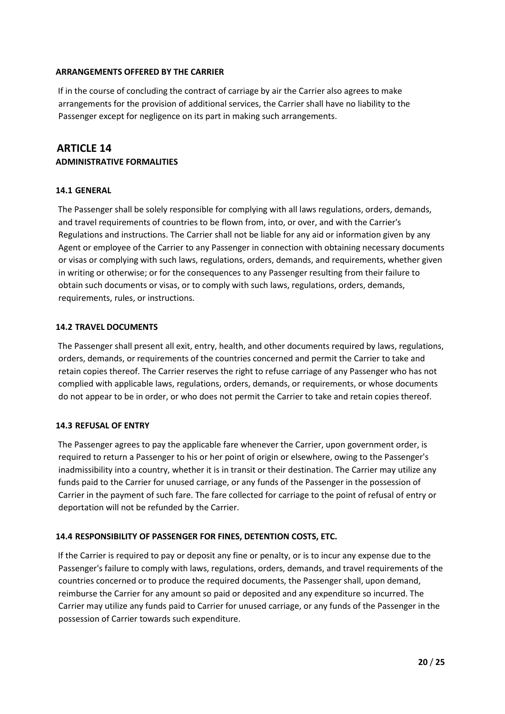#### **ARRANGEMENTS OFFERED BY THE CARRIER**

If in the course of concluding the contract of carriage by air the Carrier also agrees to make arrangements for the provision of additional services, the Carrier shall have no liability to the Passenger except for negligence on its part in making such arrangements.

# **ARTICLE 14 ADMINISTRATIVE FORMALITIES**

#### **14.1 GENERAL**

The Passenger shall be solely responsible for complying with all laws regulations, orders, demands, and travel requirements of countries to be flown from, into, or over, and with the Carrier's Regulations and instructions. The Carrier shall not be liable for any aid or information given by any Agent or employee of the Carrier to any Passenger in connection with obtaining necessary documents or visas or complying with such laws, regulations, orders, demands, and requirements, whether given in writing or otherwise; or for the consequences to any Passenger resulting from their failure to obtain such documents or visas, or to comply with such laws, regulations, orders, demands, requirements, rules, or instructions.

#### **14.2 TRAVEL DOCUMENTS**

The Passenger shall present all exit, entry, health, and other documents required by laws, regulations, orders, demands, or requirements of the countries concerned and permit the Carrier to take and retain copies thereof. The Carrier reserves the right to refuse carriage of any Passenger who has not complied with applicable laws, regulations, orders, demands, or requirements, or whose documents do not appear to be in order, or who does not permit the Carrier to take and retain copies thereof.

#### **14.3 REFUSAL OF ENTRY**

The Passenger agrees to pay the applicable fare whenever the Carrier, upon government order, is required to return a Passenger to his or her point of origin or elsewhere, owing to the Passenger's inadmissibility into a country, whether it is in transit or their destination. The Carrier may utilize any funds paid to the Carrier for unused carriage, or any funds of the Passenger in the possession of Carrier in the payment of such fare. The fare collected for carriage to the point of refusal of entry or deportation will not be refunded by the Carrier.

### **14.4 RESPONSIBILITY OF PASSENGER FOR FINES, DETENTION COSTS, ETC.**

If the Carrier is required to pay or deposit any fine or penalty, or is to incur any expense due to the Passenger's failure to comply with laws, regulations, orders, demands, and travel requirements of the countries concerned or to produce the required documents, the Passenger shall, upon demand, reimburse the Carrier for any amount so paid or deposited and any expenditure so incurred. The Carrier may utilize any funds paid to Carrier for unused carriage, or any funds of the Passenger in the possession of Carrier towards such expenditure.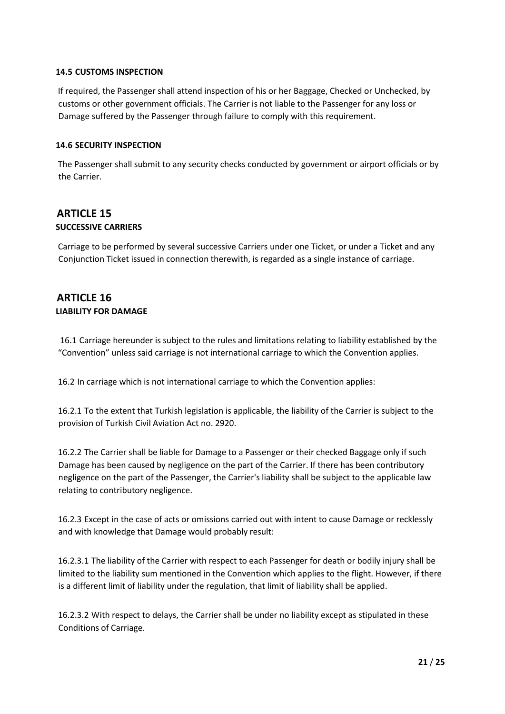#### **14.5 CUSTOMS INSPECTION**

If required, the Passenger shall attend inspection of his or her Baggage, Checked or Unchecked, by customs or other government officials. The Carrier is not liable to the Passenger for any loss or Damage suffered by the Passenger through failure to comply with this requirement.

#### **14.6 SECURITY INSPECTION**

The Passenger shall submit to any security checks conducted by government or airport officials or by the Carrier.

# **ARTICLE 15 SUCCESSIVE CARRIERS**

Carriage to be performed by several successive Carriers under one Ticket, or under a Ticket and any Conjunction Ticket issued in connection therewith, is regarded as a single instance of carriage.

# **ARTICLE 16 LIABILITY FOR DAMAGE**

16.1 Carriage hereunder is subject to the rules and limitations relating to liability established by the "Convention" unless said carriage is not international carriage to which the Convention applies.

16.2 In carriage which is not international carriage to which the Convention applies:

16.2.1 To the extent that Turkish legislation is applicable, the liability of the Carrier is subject to the provision of Turkish Civil Aviation Act no. 2920.

16.2.2 The Carrier shall be liable for Damage to a Passenger or their checked Baggage only if such Damage has been caused by negligence on the part of the Carrier. If there has been contributory negligence on the part of the Passenger, the Carrier's liability shall be subject to the applicable law relating to contributory negligence.

16.2.3 Except in the case of acts or omissions carried out with intent to cause Damage or recklessly and with knowledge that Damage would probably result:

16.2.3.1 The liability of the Carrier with respect to each Passenger for death or bodily injury shall be limited to the liability sum mentioned in the Convention which applies to the flight. However, if there is a different limit of liability under the regulation, that limit of liability shall be applied.

16.2.3.2 With respect to delays, the Carrier shall be under no liability except as stipulated in these Conditions of Carriage.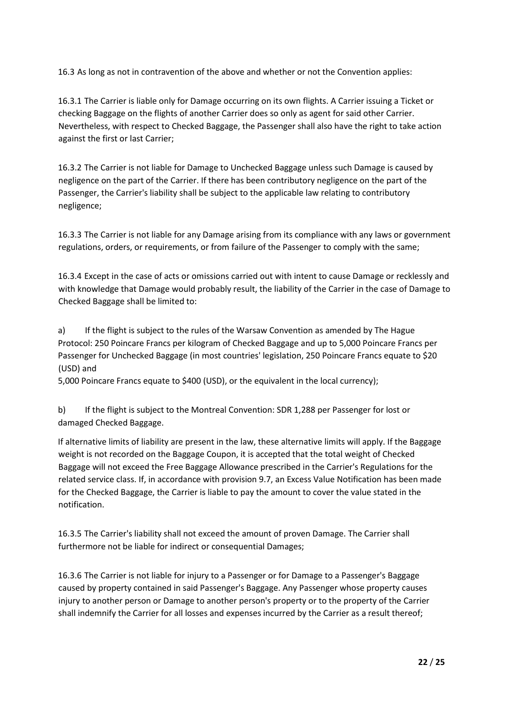16.3 As long as not in contravention of the above and whether or not the Convention applies:

16.3.1 The Carrier is liable only for Damage occurring on its own flights. A Carrier issuing a Ticket or checking Baggage on the flights of another Carrier does so only as agent for said other Carrier. Nevertheless, with respect to Checked Baggage, the Passenger shall also have the right to take action against the first or last Carrier;

16.3.2 The Carrier is not liable for Damage to Unchecked Baggage unless such Damage is caused by negligence on the part of the Carrier. If there has been contributory negligence on the part of the Passenger, the Carrier's liability shall be subject to the applicable law relating to contributory negligence;

16.3.3 The Carrier is not liable for any Damage arising from its compliance with any laws or government regulations, orders, or requirements, or from failure of the Passenger to comply with the same;

16.3.4 Except in the case of acts or omissions carried out with intent to cause Damage or recklessly and with knowledge that Damage would probably result, the liability of the Carrier in the case of Damage to Checked Baggage shall be limited to:

a) If the flight is subject to the rules of the Warsaw Convention as amended by The Hague Protocol: 250 Poincare Francs per kilogram of Checked Baggage and up to 5,000 Poincare Francs per Passenger for Unchecked Baggage (in most countries' legislation, 250 Poincare Francs equate to \$20 (USD) and

5,000 Poincare Francs equate to \$400 (USD), or the equivalent in the local currency);

b) If the flight is subject to the Montreal Convention: SDR 1,288 per Passenger for lost or damaged Checked Baggage.

If alternative limits of liability are present in the law, these alternative limits will apply. If the Baggage weight is not recorded on the Baggage Coupon, it is accepted that the total weight of Checked Baggage will not exceed the Free Baggage Allowance prescribed in the Carrier's Regulations for the related service class. If, in accordance with provision 9.7, an Excess Value Notification has been made for the Checked Baggage, the Carrier is liable to pay the amount to cover the value stated in the notification.

16.3.5 The Carrier's liability shall not exceed the amount of proven Damage. The Carrier shall furthermore not be liable for indirect or consequential Damages;

16.3.6 The Carrier is not liable for injury to a Passenger or for Damage to a Passenger's Baggage caused by property contained in said Passenger's Baggage. Any Passenger whose property causes injury to another person or Damage to another person's property or to the property of the Carrier shall indemnify the Carrier for all losses and expenses incurred by the Carrier as a result thereof;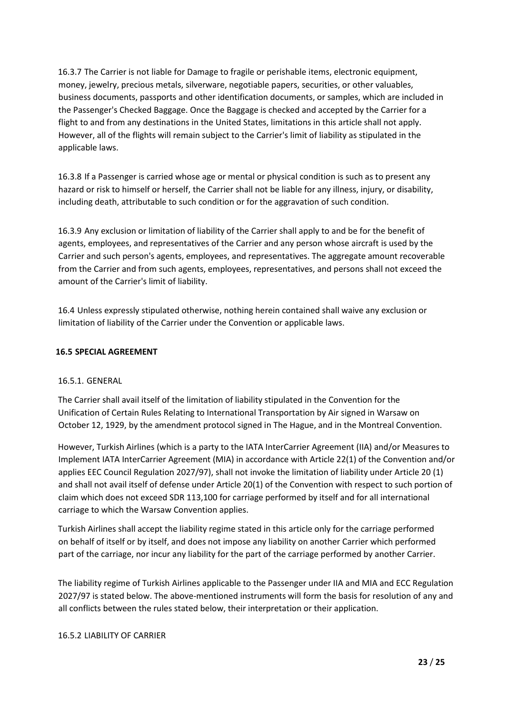16.3.7 The Carrier is not liable for Damage to fragile or perishable items, electronic equipment, money, jewelry, precious metals, silverware, negotiable papers, securities, or other valuables, business documents, passports and other identification documents, or samples, which are included in the Passenger's Checked Baggage. Once the Baggage is checked and accepted by the Carrier for a flight to and from any destinations in the United States, limitations in this article shall not apply. However, all of the flights will remain subject to the Carrier's limit of liability as stipulated in the applicable laws.

16.3.8 If a Passenger is carried whose age or mental or physical condition is such as to present any hazard or risk to himself or herself, the Carrier shall not be liable for any illness, injury, or disability, including death, attributable to such condition or for the aggravation of such condition.

16.3.9 Any exclusion or limitation of liability of the Carrier shall apply to and be for the benefit of agents, employees, and representatives of the Carrier and any person whose aircraft is used by the Carrier and such person's agents, employees, and representatives. The aggregate amount recoverable from the Carrier and from such agents, employees, representatives, and persons shall not exceed the amount of the Carrier's limit of liability.

16.4 Unless expressly stipulated otherwise, nothing herein contained shall waive any exclusion or limitation of liability of the Carrier under the Convention or applicable laws.

#### **16.5 SPECIAL AGREEMENT**

#### 16.5.1. GENERAL

The Carrier shall avail itself of the limitation of liability stipulated in the Convention for the Unification of Certain Rules Relating to International Transportation by Air signed in Warsaw on October 12, 1929, by the amendment protocol signed in The Hague, and in the Montreal Convention.

However, Turkish Airlines (which is a party to the IATA InterCarrier Agreement (IIA) and/or Measures to Implement IATA InterCarrier Agreement (MIA) in accordance with Article 22(1) of the Convention and/or applies EEC Council Regulation 2027/97), shall not invoke the limitation of liability under Article 20 (1) and shall not avail itself of defense under Article 20(1) of the Convention with respect to such portion of claim which does not exceed SDR 113,100 for carriage performed by itself and for all international carriage to which the Warsaw Convention applies.

Turkish Airlines shall accept the liability regime stated in this article only for the carriage performed on behalf of itself or by itself, and does not impose any liability on another Carrier which performed part of the carriage, nor incur any liability for the part of the carriage performed by another Carrier.

The liability regime of Turkish Airlines applicable to the Passenger under IIA and MIA and ECC Regulation 2027/97 is stated below. The above-mentioned instruments will form the basis for resolution of any and all conflicts between the rules stated below, their interpretation or their application.

#### 16.5.2 LIABILITY OF CARRIER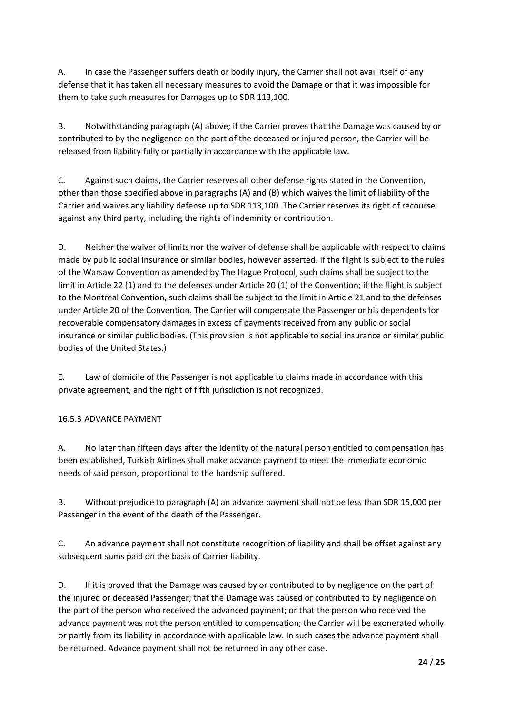A. In case the Passenger suffers death or bodily injury, the Carrier shall not avail itself of any defense that it has taken all necessary measures to avoid the Damage or that it was impossible for them to take such measures for Damages up to SDR 113,100.

B. Notwithstanding paragraph (A) above; if the Carrier proves that the Damage was caused by or contributed to by the negligence on the part of the deceased or injured person, the Carrier will be released from liability fully or partially in accordance with the applicable law.

C. Against such claims, the Carrier reserves all other defense rights stated in the Convention, other than those specified above in paragraphs (A) and (B) which waives the limit of liability of the Carrier and waives any liability defense up to SDR 113,100. The Carrier reserves its right of recourse against any third party, including the rights of indemnity or contribution.

D. Neither the waiver of limits nor the waiver of defense shall be applicable with respect to claims made by public social insurance or similar bodies, however asserted. If the flight is subject to the rules of the Warsaw Convention as amended by The Hague Protocol, such claims shall be subject to the limit in Article 22 (1) and to the defenses under Article 20 (1) of the Convention; if the flight is subject to the Montreal Convention, such claims shall be subject to the limit in Article 21 and to the defenses under Article 20 of the Convention. The Carrier will compensate the Passenger or his dependents for recoverable compensatory damages in excess of payments received from any public or social insurance or similar public bodies. (This provision is not applicable to social insurance or similar public bodies of the United States.)

E. Law of domicile of the Passenger is not applicable to claims made in accordance with this private agreement, and the right of fifth jurisdiction is not recognized.

# 16.5.3 ADVANCE PAYMENT

A. No later than fifteen days after the identity of the natural person entitled to compensation has been established, Turkish Airlines shall make advance payment to meet the immediate economic needs of said person, proportional to the hardship suffered.

B. Without prejudice to paragraph (A) an advance payment shall not be less than SDR 15,000 per Passenger in the event of the death of the Passenger.

C. An advance payment shall not constitute recognition of liability and shall be offset against any subsequent sums paid on the basis of Carrier liability.

D. If it is proved that the Damage was caused by or contributed to by negligence on the part of the injured or deceased Passenger; that the Damage was caused or contributed to by negligence on the part of the person who received the advanced payment; or that the person who received the advance payment was not the person entitled to compensation; the Carrier will be exonerated wholly or partly from its liability in accordance with applicable law. In such cases the advance payment shall be returned. Advance payment shall not be returned in any other case.